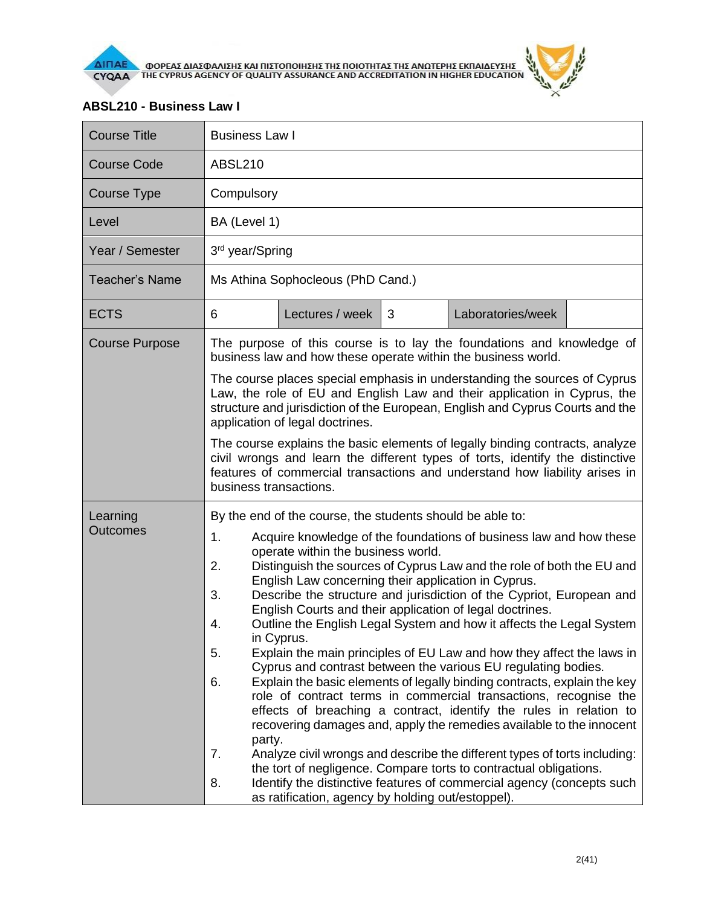

## **ABSL210 - Business Law I**

| <b>Course Title</b>         | <b>Business Law I</b>                                                                                                                                                                                                                                                                                                                                                                                                                                                                                                                                                                                                                                                                                                                                                                                                                                                                                                                                                                                                                                                                                                                                                                                                                                                                                             |                 |   |                   |  |  |
|-----------------------------|-------------------------------------------------------------------------------------------------------------------------------------------------------------------------------------------------------------------------------------------------------------------------------------------------------------------------------------------------------------------------------------------------------------------------------------------------------------------------------------------------------------------------------------------------------------------------------------------------------------------------------------------------------------------------------------------------------------------------------------------------------------------------------------------------------------------------------------------------------------------------------------------------------------------------------------------------------------------------------------------------------------------------------------------------------------------------------------------------------------------------------------------------------------------------------------------------------------------------------------------------------------------------------------------------------------------|-----------------|---|-------------------|--|--|
| <b>Course Code</b>          | <b>ABSL210</b>                                                                                                                                                                                                                                                                                                                                                                                                                                                                                                                                                                                                                                                                                                                                                                                                                                                                                                                                                                                                                                                                                                                                                                                                                                                                                                    |                 |   |                   |  |  |
| Course Type                 | Compulsory                                                                                                                                                                                                                                                                                                                                                                                                                                                                                                                                                                                                                                                                                                                                                                                                                                                                                                                                                                                                                                                                                                                                                                                                                                                                                                        |                 |   |                   |  |  |
| Level                       | BA (Level 1)                                                                                                                                                                                                                                                                                                                                                                                                                                                                                                                                                                                                                                                                                                                                                                                                                                                                                                                                                                                                                                                                                                                                                                                                                                                                                                      |                 |   |                   |  |  |
| Year / Semester             | 3 <sup>rd</sup> year/Spring                                                                                                                                                                                                                                                                                                                                                                                                                                                                                                                                                                                                                                                                                                                                                                                                                                                                                                                                                                                                                                                                                                                                                                                                                                                                                       |                 |   |                   |  |  |
| <b>Teacher's Name</b>       | Ms Athina Sophocleous (PhD Cand.)                                                                                                                                                                                                                                                                                                                                                                                                                                                                                                                                                                                                                                                                                                                                                                                                                                                                                                                                                                                                                                                                                                                                                                                                                                                                                 |                 |   |                   |  |  |
| <b>ECTS</b>                 | 6                                                                                                                                                                                                                                                                                                                                                                                                                                                                                                                                                                                                                                                                                                                                                                                                                                                                                                                                                                                                                                                                                                                                                                                                                                                                                                                 | Lectures / week | 3 | Laboratories/week |  |  |
| <b>Course Purpose</b>       | The purpose of this course is to lay the foundations and knowledge of<br>business law and how these operate within the business world.<br>The course places special emphasis in understanding the sources of Cyprus<br>Law, the role of EU and English Law and their application in Cyprus, the<br>structure and jurisdiction of the European, English and Cyprus Courts and the                                                                                                                                                                                                                                                                                                                                                                                                                                                                                                                                                                                                                                                                                                                                                                                                                                                                                                                                  |                 |   |                   |  |  |
|                             | application of legal doctrines.<br>The course explains the basic elements of legally binding contracts, analyze<br>civil wrongs and learn the different types of torts, identify the distinctive<br>features of commercial transactions and understand how liability arises in<br>business transactions.                                                                                                                                                                                                                                                                                                                                                                                                                                                                                                                                                                                                                                                                                                                                                                                                                                                                                                                                                                                                          |                 |   |                   |  |  |
| Learning<br><b>Outcomes</b> | By the end of the course, the students should be able to:<br>1.<br>Acquire knowledge of the foundations of business law and how these<br>operate within the business world.<br>2.<br>Distinguish the sources of Cyprus Law and the role of both the EU and<br>English Law concerning their application in Cyprus.<br>Describe the structure and jurisdiction of the Cypriot, European and<br>3.<br>English Courts and their application of legal doctrines.<br>Outline the English Legal System and how it affects the Legal System<br>4.<br>in Cyprus.<br>5.<br>Explain the main principles of EU Law and how they affect the laws in<br>Cyprus and contrast between the various EU regulating bodies.<br>Explain the basic elements of legally binding contracts, explain the key<br>6.<br>role of contract terms in commercial transactions, recognise the<br>effects of breaching a contract, identify the rules in relation to<br>recovering damages and, apply the remedies available to the innocent<br>party.<br>7.<br>Analyze civil wrongs and describe the different types of torts including:<br>the tort of negligence. Compare torts to contractual obligations.<br>Identify the distinctive features of commercial agency (concepts such<br>8.<br>as ratification, agency by holding out/estoppel). |                 |   |                   |  |  |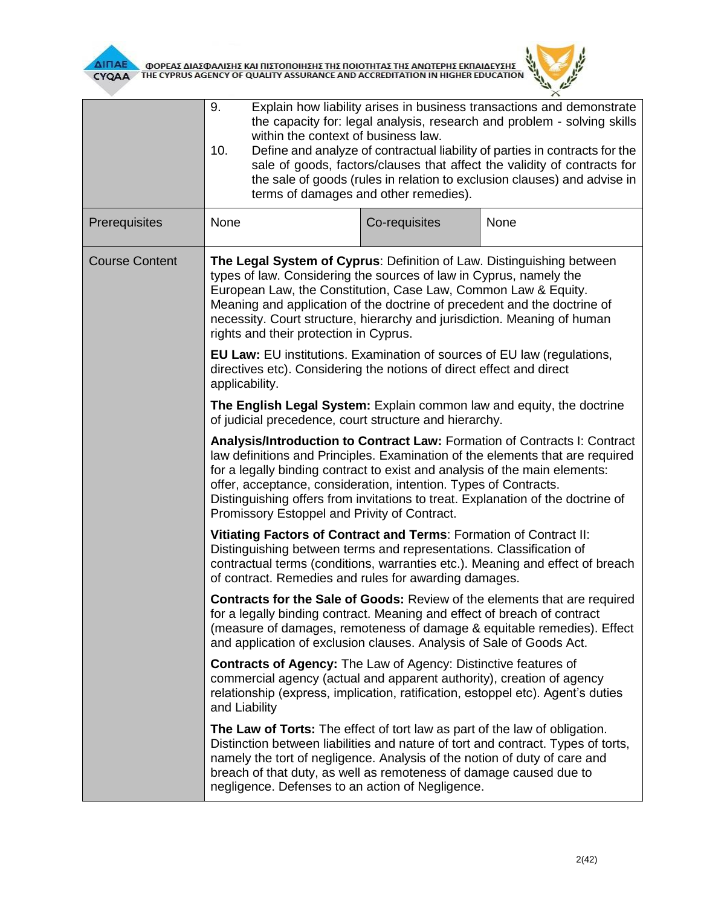



|                       | 9.<br>Explain how liability arises in business transactions and demonstrate<br>the capacity for: legal analysis, research and problem - solving skills<br>within the context of business law.<br>Define and analyze of contractual liability of parties in contracts for the<br>10.<br>sale of goods, factors/clauses that affect the validity of contracts for<br>the sale of goods (rules in relation to exclusion clauses) and advise in<br>terms of damages and other remedies). |               |      |  |  |  |
|-----------------------|--------------------------------------------------------------------------------------------------------------------------------------------------------------------------------------------------------------------------------------------------------------------------------------------------------------------------------------------------------------------------------------------------------------------------------------------------------------------------------------|---------------|------|--|--|--|
| Prerequisites         | None                                                                                                                                                                                                                                                                                                                                                                                                                                                                                 | Co-requisites | None |  |  |  |
| <b>Course Content</b> | The Legal System of Cyprus: Definition of Law. Distinguishing between<br>types of law. Considering the sources of law in Cyprus, namely the<br>European Law, the Constitution, Case Law, Common Law & Equity.<br>Meaning and application of the doctrine of precedent and the doctrine of<br>necessity. Court structure, hierarchy and jurisdiction. Meaning of human<br>rights and their protection in Cyprus.                                                                      |               |      |  |  |  |
|                       | <b>EU Law: EU institutions. Examination of sources of EU law (regulations,</b><br>directives etc). Considering the notions of direct effect and direct<br>applicability.                                                                                                                                                                                                                                                                                                             |               |      |  |  |  |
|                       | The English Legal System: Explain common law and equity, the doctrine<br>of judicial precedence, court structure and hierarchy.                                                                                                                                                                                                                                                                                                                                                      |               |      |  |  |  |
|                       | Analysis/Introduction to Contract Law: Formation of Contracts I: Contract<br>law definitions and Principles. Examination of the elements that are required<br>for a legally binding contract to exist and analysis of the main elements:<br>offer, acceptance, consideration, intention. Types of Contracts.<br>Distinguishing offers from invitations to treat. Explanation of the doctrine of<br>Promissory Estoppel and Privity of Contract.                                      |               |      |  |  |  |
|                       | Vitiating Factors of Contract and Terms: Formation of Contract II:<br>Distinguishing between terms and representations. Classification of<br>contractual terms (conditions, warranties etc.). Meaning and effect of breach<br>of contract. Remedies and rules for awarding damages.                                                                                                                                                                                                  |               |      |  |  |  |
|                       | <b>Contracts for the Sale of Goods: Review of the elements that are required</b><br>for a legally binding contract. Meaning and effect of breach of contract<br>(measure of damages, remoteness of damage & equitable remedies). Effect<br>and application of exclusion clauses. Analysis of Sale of Goods Act.                                                                                                                                                                      |               |      |  |  |  |
|                       | <b>Contracts of Agency:</b> The Law of Agency: Distinctive features of<br>commercial agency (actual and apparent authority), creation of agency<br>relationship (express, implication, ratification, estoppel etc). Agent's duties<br>and Liability                                                                                                                                                                                                                                  |               |      |  |  |  |
|                       | The Law of Torts: The effect of tort law as part of the law of obligation.<br>Distinction between liabilities and nature of tort and contract. Types of torts,<br>namely the tort of negligence. Analysis of the notion of duty of care and<br>breach of that duty, as well as remoteness of damage caused due to<br>negligence. Defenses to an action of Negligence.                                                                                                                |               |      |  |  |  |